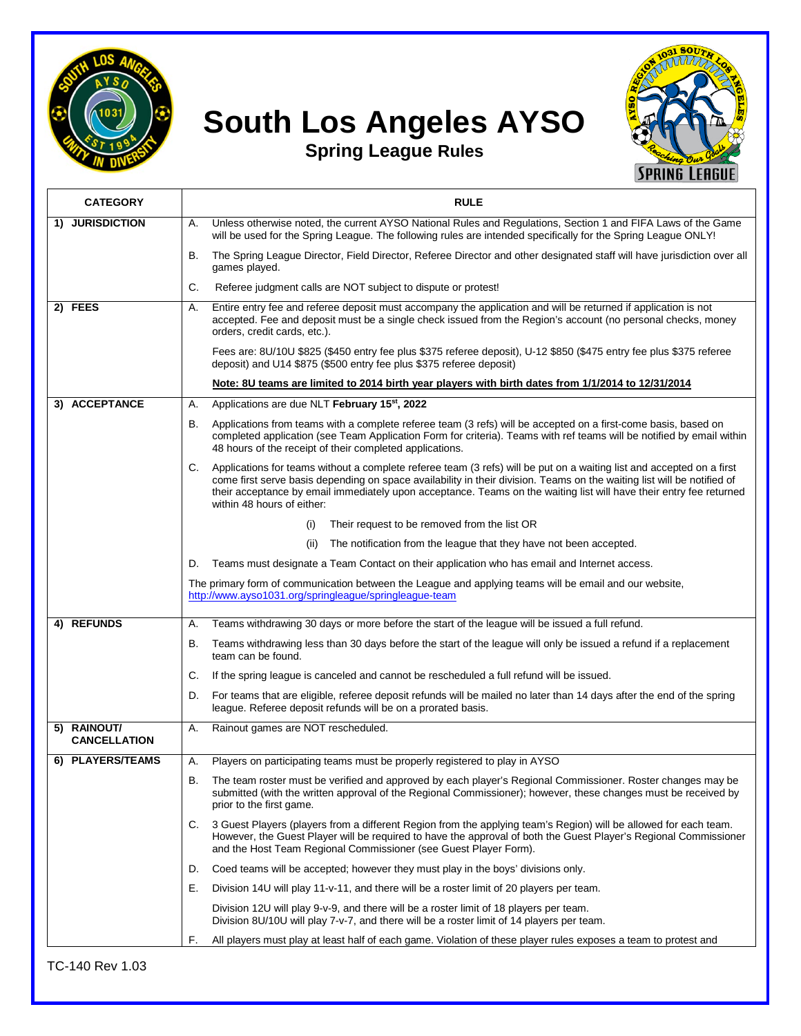

## **South Los Angeles AYSO**



**Spring League Rules**

| <b>CATEGORY</b>                    | <b>RULE</b>                                                                                                                                                                                                                                                                                                                                                                                                 |
|------------------------------------|-------------------------------------------------------------------------------------------------------------------------------------------------------------------------------------------------------------------------------------------------------------------------------------------------------------------------------------------------------------------------------------------------------------|
| 1) JURISDICTION                    | Unless otherwise noted, the current AYSO National Rules and Regulations, Section 1 and FIFA Laws of the Game<br>А.<br>will be used for the Spring League. The following rules are intended specifically for the Spring League ONLY!                                                                                                                                                                         |
|                                    | The Spring League Director, Field Director, Referee Director and other designated staff will have jurisdiction over all<br>В.<br>games played.                                                                                                                                                                                                                                                              |
|                                    | Referee judgment calls are NOT subject to dispute or protest!<br>C.                                                                                                                                                                                                                                                                                                                                         |
| 2) FEES                            | Entire entry fee and referee deposit must accompany the application and will be returned if application is not<br>Α.<br>accepted. Fee and deposit must be a single check issued from the Region's account (no personal checks, money<br>orders, credit cards, etc.).                                                                                                                                        |
|                                    | Fees are: 8U/10U \$825 (\$450 entry fee plus \$375 referee deposit), U-12 \$850 (\$475 entry fee plus \$375 referee<br>deposit) and U14 \$875 (\$500 entry fee plus \$375 referee deposit)                                                                                                                                                                                                                  |
|                                    | Note: 8U teams are limited to 2014 birth year players with birth dates from 1/1/2014 to 12/31/2014                                                                                                                                                                                                                                                                                                          |
| 3) ACCEPTANCE                      | Applications are due NLT February 15 <sup>st</sup> , 2022<br>Α.                                                                                                                                                                                                                                                                                                                                             |
|                                    | Applications from teams with a complete referee team (3 refs) will be accepted on a first-come basis, based on<br>В.<br>completed application (see Team Application Form for criteria). Teams with ref teams will be notified by email within<br>48 hours of the receipt of their completed applications.                                                                                                   |
|                                    | Applications for teams without a complete referee team (3 refs) will be put on a waiting list and accepted on a first<br>C.<br>come first serve basis depending on space availability in their division. Teams on the waiting list will be notified of<br>their acceptance by email immediately upon acceptance. Teams on the waiting list will have their entry fee returned<br>within 48 hours of either: |
|                                    | Their request to be removed from the list OR<br>(i)                                                                                                                                                                                                                                                                                                                                                         |
|                                    | The notification from the league that they have not been accepted.<br>(ii)                                                                                                                                                                                                                                                                                                                                  |
|                                    | Teams must designate a Team Contact on their application who has email and Internet access.<br>D.                                                                                                                                                                                                                                                                                                           |
|                                    | The primary form of communication between the League and applying teams will be email and our website,<br>http://www.ayso1031.org/springleague/springleague-team                                                                                                                                                                                                                                            |
| 4) REFUNDS                         | Teams withdrawing 30 days or more before the start of the league will be issued a full refund.<br>Α.                                                                                                                                                                                                                                                                                                        |
|                                    | В.<br>Teams withdrawing less than 30 days before the start of the league will only be issued a refund if a replacement<br>team can be found.                                                                                                                                                                                                                                                                |
|                                    | If the spring league is canceled and cannot be rescheduled a full refund will be issued.<br>C.                                                                                                                                                                                                                                                                                                              |
|                                    | For teams that are eligible, referee deposit refunds will be mailed no later than 14 days after the end of the spring<br>D.<br>league. Referee deposit refunds will be on a prorated basis.                                                                                                                                                                                                                 |
| 5) RAINOUT/<br><b>CANCELLATION</b> | Rainout games are NOT rescheduled.<br>Α.                                                                                                                                                                                                                                                                                                                                                                    |
| 6) PLAYERS/TEAMS                   | Players on participating teams must be properly registered to play in AYSO<br>Α.                                                                                                                                                                                                                                                                                                                            |
|                                    | The team roster must be verified and approved by each player's Regional Commissioner. Roster changes may be<br>В.<br>submitted (with the written approval of the Regional Commissioner); however, these changes must be received by<br>prior to the first game.                                                                                                                                             |
|                                    | 3 Guest Players (players from a different Region from the applying team's Region) will be allowed for each team.<br>C.<br>However, the Guest Player will be required to have the approval of both the Guest Player's Regional Commissioner<br>and the Host Team Regional Commissioner (see Guest Player Form).                                                                                              |
|                                    | Coed teams will be accepted; however they must play in the boys' divisions only.<br>D.                                                                                                                                                                                                                                                                                                                      |
|                                    | Division 14U will play 11-v-11, and there will be a roster limit of 20 players per team.<br>Е.                                                                                                                                                                                                                                                                                                              |
|                                    | Division 12U will play 9-v-9, and there will be a roster limit of 18 players per team.<br>Division 8U/10U will play 7-v-7, and there will be a roster limit of 14 players per team.                                                                                                                                                                                                                         |
|                                    | All players must play at least half of each game. Violation of these player rules exposes a team to protest and<br>F.                                                                                                                                                                                                                                                                                       |

TC-140 Rev 1.03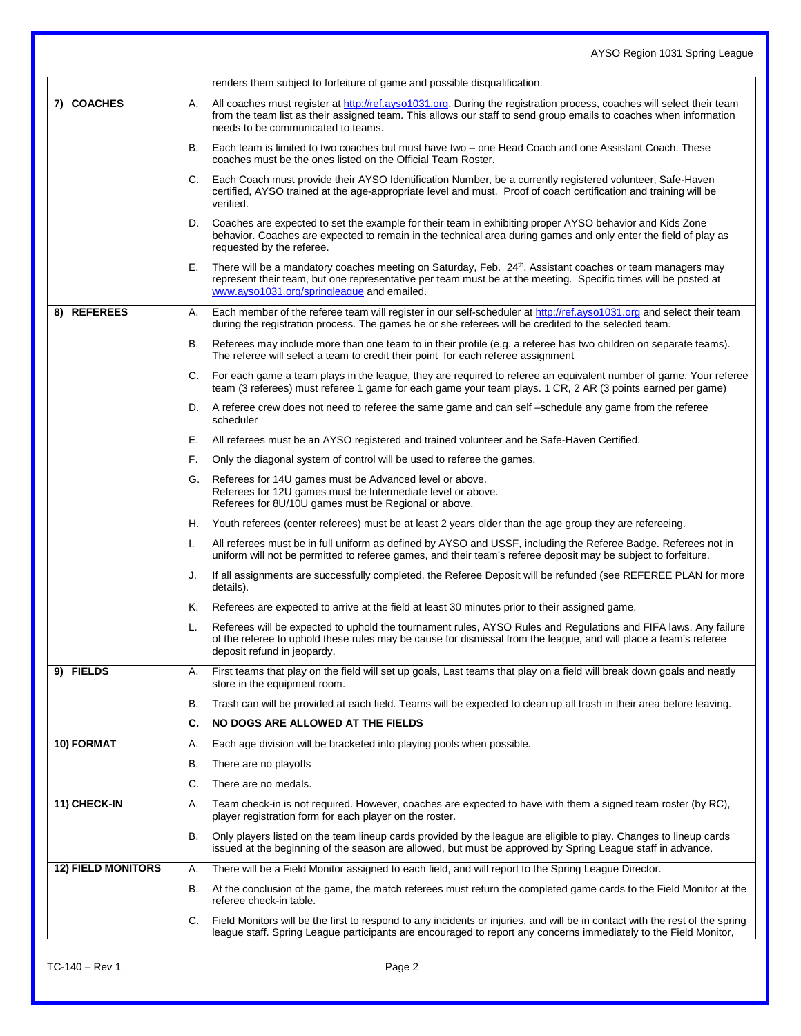|                           |    | renders them subject to forfeiture of game and possible disqualification.                                                                                                                                                                                                        |
|---------------------------|----|----------------------------------------------------------------------------------------------------------------------------------------------------------------------------------------------------------------------------------------------------------------------------------|
| 7) COACHES                | А. | All coaches must register at http://ref.ayso1031.org. During the registration process, coaches will select their team<br>from the team list as their assigned team. This allows our staff to send group emails to coaches when information<br>needs to be communicated to teams. |
|                           | В. | Each team is limited to two coaches but must have two – one Head Coach and one Assistant Coach. These<br>coaches must be the ones listed on the Official Team Roster.                                                                                                            |
|                           | C. | Each Coach must provide their AYSO Identification Number, be a currently registered volunteer, Safe-Haven<br>certified, AYSO trained at the age-appropriate level and must. Proof of coach certification and training will be<br>verified.                                       |
|                           | D. | Coaches are expected to set the example for their team in exhibiting proper AYSO behavior and Kids Zone<br>behavior. Coaches are expected to remain in the technical area during games and only enter the field of play as<br>requested by the referee.                          |
|                           | Е. | There will be a mandatory coaches meeting on Saturday, Feb. 24th. Assistant coaches or team managers may<br>represent their team, but one representative per team must be at the meeting. Specific times will be posted at<br>www.ayso1031.org/springleague and emailed.         |
| 8) REFEREES               | Α. | Each member of the referee team will register in our self-scheduler at http://ref.ayso1031.org and select their team<br>during the registration process. The games he or she referees will be credited to the selected team.                                                     |
|                           | В. | Referees may include more than one team to in their profile (e.g. a referee has two children on separate teams).<br>The referee will select a team to credit their point for each referee assignment                                                                             |
|                           | C. | For each game a team plays in the league, they are required to referee an equivalent number of game. Your referee<br>team (3 referees) must referee 1 game for each game your team plays. 1 CR, 2 AR (3 points earned per game)                                                  |
|                           |    | D. A referee crew does not need to referee the same game and can self -schedule any game from the referee<br>scheduler                                                                                                                                                           |
|                           | Е. | All referees must be an AYSO registered and trained volunteer and be Safe-Haven Certified.                                                                                                                                                                                       |
|                           | F. | Only the diagonal system of control will be used to referee the games.                                                                                                                                                                                                           |
|                           | G. | Referees for 14U games must be Advanced level or above.<br>Referees for 12U games must be Intermediate level or above.<br>Referees for 8U/10U games must be Regional or above.                                                                                                   |
|                           | Н. | Youth referees (center referees) must be at least 2 years older than the age group they are refereeing.                                                                                                                                                                          |
|                           | Τ. | All referees must be in full uniform as defined by AYSO and USSF, including the Referee Badge. Referees not in<br>uniform will not be permitted to referee games, and their team's referee deposit may be subject to forfeiture.                                                 |
|                           | J. | If all assignments are successfully completed, the Referee Deposit will be refunded (see REFEREE PLAN for more<br>details).                                                                                                                                                      |
|                           | Κ. | Referees are expected to arrive at the field at least 30 minutes prior to their assigned game.                                                                                                                                                                                   |
|                           | L. | Referees will be expected to uphold the tournament rules, AYSO Rules and Regulations and FIFA laws. Any failure<br>of the referee to uphold these rules may be cause for dismissal from the league, and will place a team's referee<br>deposit refund in jeopardy.               |
| 9) FIELDS                 | А. | First teams that play on the field will set up goals, Last teams that play on a field will break down goals and neatly<br>store in the equipment room.                                                                                                                           |
|                           | В. | Trash can will be provided at each field. Teams will be expected to clean up all trash in their area before leaving.                                                                                                                                                             |
|                           | C. | NO DOGS ARE ALLOWED AT THE FIELDS                                                                                                                                                                                                                                                |
| 10) FORMAT                | Α. | Each age division will be bracketed into playing pools when possible.                                                                                                                                                                                                            |
|                           | В. | There are no playoffs                                                                                                                                                                                                                                                            |
|                           | C. | There are no medals.                                                                                                                                                                                                                                                             |
| 11) CHECK-IN              | Α. | Team check-in is not required. However, coaches are expected to have with them a signed team roster (by RC),<br>player registration form for each player on the roster.                                                                                                          |
|                           | В. | Only players listed on the team lineup cards provided by the league are eligible to play. Changes to lineup cards<br>issued at the beginning of the season are allowed, but must be approved by Spring League staff in advance.                                                  |
| <b>12) FIELD MONITORS</b> | Α. | There will be a Field Monitor assigned to each field, and will report to the Spring League Director.                                                                                                                                                                             |
|                           | В. | At the conclusion of the game, the match referees must return the completed game cards to the Field Monitor at the<br>referee check-in table.                                                                                                                                    |
|                           | C. | Field Monitors will be the first to respond to any incidents or injuries, and will be in contact with the rest of the spring<br>league staff. Spring League participants are encouraged to report any concerns immediately to the Field Monitor,                                 |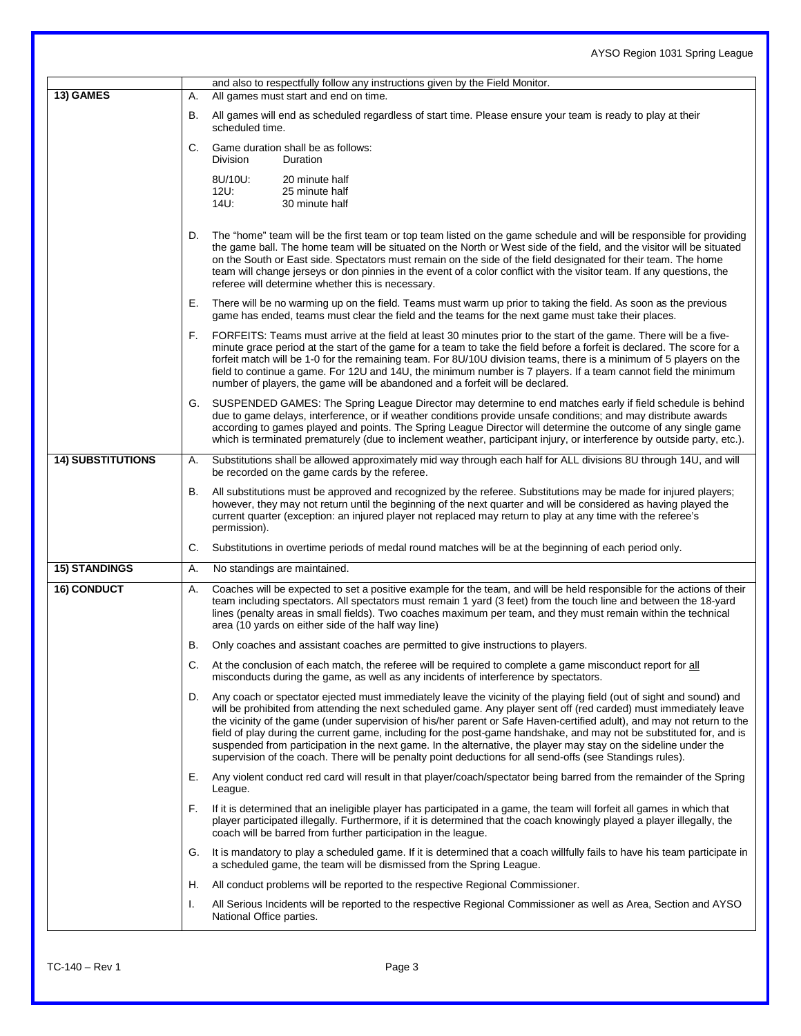| 13) GAMES                | and also to respectfully follow any instructions given by the Field Monitor.<br>All games must start and end on time.<br>А.                                                                                                                                                                                                                                                                                                                                                                                                                                                                                                                                                                                                          |
|--------------------------|--------------------------------------------------------------------------------------------------------------------------------------------------------------------------------------------------------------------------------------------------------------------------------------------------------------------------------------------------------------------------------------------------------------------------------------------------------------------------------------------------------------------------------------------------------------------------------------------------------------------------------------------------------------------------------------------------------------------------------------|
|                          | All games will end as scheduled regardless of start time. Please ensure your team is ready to play at their<br>В.<br>scheduled time.                                                                                                                                                                                                                                                                                                                                                                                                                                                                                                                                                                                                 |
|                          | Game duration shall be as follows:<br>C.<br><b>Division</b><br>Duration                                                                                                                                                                                                                                                                                                                                                                                                                                                                                                                                                                                                                                                              |
|                          | 8U/10U:<br>20 minute half<br>$12U$ :<br>25 minute half<br>$14U$ :<br>30 minute half                                                                                                                                                                                                                                                                                                                                                                                                                                                                                                                                                                                                                                                  |
|                          | The "home" team will be the first team or top team listed on the game schedule and will be responsible for providing<br>D.<br>the game ball. The home team will be situated on the North or West side of the field, and the visitor will be situated<br>on the South or East side. Spectators must remain on the side of the field designated for their team. The home<br>team will change jerseys or don pinnies in the event of a color conflict with the visitor team. If any questions, the<br>referee will determine whether this is necessary.                                                                                                                                                                                 |
|                          | Е.<br>There will be no warming up on the field. Teams must warm up prior to taking the field. As soon as the previous<br>game has ended, teams must clear the field and the teams for the next game must take their places.                                                                                                                                                                                                                                                                                                                                                                                                                                                                                                          |
|                          | F.<br>FORFEITS: Teams must arrive at the field at least 30 minutes prior to the start of the game. There will be a five-<br>minute grace period at the start of the game for a team to take the field before a forfeit is declared. The score for a<br>forfeit match will be 1-0 for the remaining team. For 8U/10U division teams, there is a minimum of 5 players on the<br>field to continue a game. For 12U and 14U, the minimum number is 7 players. If a team cannot field the minimum<br>number of players, the game will be abandoned and a forfeit will be declared.                                                                                                                                                        |
|                          | SUSPENDED GAMES: The Spring League Director may determine to end matches early if field schedule is behind<br>G.<br>due to game delays, interference, or if weather conditions provide unsafe conditions; and may distribute awards<br>according to games played and points. The Spring League Director will determine the outcome of any single game<br>which is terminated prematurely (due to inclement weather, participant injury, or interference by outside party, etc.).                                                                                                                                                                                                                                                     |
| <b>14) SUBSTITUTIONS</b> | Substitutions shall be allowed approximately mid way through each half for ALL divisions 8U through 14U, and will<br>Α.<br>be recorded on the game cards by the referee.                                                                                                                                                                                                                                                                                                                                                                                                                                                                                                                                                             |
|                          | All substitutions must be approved and recognized by the referee. Substitutions may be made for injured players;<br>В.<br>however, they may not return until the beginning of the next quarter and will be considered as having played the<br>current quarter (exception: an injured player not replaced may return to play at any time with the referee's<br>permission).                                                                                                                                                                                                                                                                                                                                                           |
|                          | Substitutions in overtime periods of medal round matches will be at the beginning of each period only.<br>C.                                                                                                                                                                                                                                                                                                                                                                                                                                                                                                                                                                                                                         |
| <b>15) STANDINGS</b>     | Α.<br>No standings are maintained.                                                                                                                                                                                                                                                                                                                                                                                                                                                                                                                                                                                                                                                                                                   |
| <b>16) CONDUCT</b>       | Coaches will be expected to set a positive example for the team, and will be held responsible for the actions of their<br>Α.<br>team including spectators. All spectators must remain 1 yard (3 feet) from the touch line and between the 18-yard<br>lines (penalty areas in small fields). Two coaches maximum per team, and they must remain within the technical<br>area (10 yards on either side of the half way line)                                                                                                                                                                                                                                                                                                           |
|                          | В.<br>Only coaches and assistant coaches are permitted to give instructions to players.                                                                                                                                                                                                                                                                                                                                                                                                                                                                                                                                                                                                                                              |
|                          | At the conclusion of each match, the referee will be required to complete a game misconduct report for all<br>C.<br>misconducts during the game, as well as any incidents of interference by spectators.                                                                                                                                                                                                                                                                                                                                                                                                                                                                                                                             |
|                          | Any coach or spectator ejected must immediately leave the vicinity of the playing field (out of sight and sound) and<br>D.<br>will be prohibited from attending the next scheduled game. Any player sent off (red carded) must immediately leave<br>the vicinity of the game (under supervision of his/her parent or Safe Haven-certified adult), and may not return to the<br>field of play during the current game, including for the post-game handshake, and may not be substituted for, and is<br>suspended from participation in the next game. In the alternative, the player may stay on the sideline under the<br>supervision of the coach. There will be penalty point deductions for all send-offs (see Standings rules). |
|                          | Any violent conduct red card will result in that player/coach/spectator being barred from the remainder of the Spring<br>Е.<br>League.                                                                                                                                                                                                                                                                                                                                                                                                                                                                                                                                                                                               |
|                          | If it is determined that an ineligible player has participated in a game, the team will forfeit all games in which that<br>F.<br>player participated illegally. Furthermore, if it is determined that the coach knowingly played a player illegally, the<br>coach will be barred from further participation in the league.                                                                                                                                                                                                                                                                                                                                                                                                           |
|                          | It is mandatory to play a scheduled game. If it is determined that a coach willfully fails to have his team participate in<br>G.<br>a scheduled game, the team will be dismissed from the Spring League.                                                                                                                                                                                                                                                                                                                                                                                                                                                                                                                             |
|                          | All conduct problems will be reported to the respective Regional Commissioner.<br>Η.                                                                                                                                                                                                                                                                                                                                                                                                                                                                                                                                                                                                                                                 |
|                          | All Serious Incidents will be reported to the respective Regional Commissioner as well as Area, Section and AYSO<br>Τ.<br>National Office parties.                                                                                                                                                                                                                                                                                                                                                                                                                                                                                                                                                                                   |